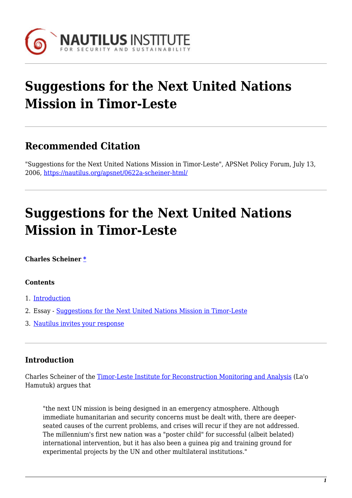

# **Suggestions for the Next United Nations Mission in Timor-Leste**

# **Recommended Citation**

"Suggestions for the Next United Nations Mission in Timor-Leste", APSNet Policy Forum, July 13, 2006, <https://nautilus.org/apsnet/0622a-scheiner-html/>

# **Suggestions for the Next United Nations Mission in Timor-Leste**

#### **Charles Scheiner [\\*](#page--1-0)**

#### **Contents**

- 1. [Introduction](#page--1-0)
- 2. Essay - [Suggestions for the Next United Nations Mission in Timor-Leste](#page--1-0)
- 3. [Nautilus invites your response](#page--1-0)

## **Introduction**

Charles Scheiner of the [Timor-Leste Institute for Reconstruction Monitoring and Analysis](http://www.laohamutuk.org/) (La'o Hamutuk) argues that

"the next UN mission is being designed in an emergency atmosphere. Although immediate humanitarian and security concerns must be dealt with, there are deeperseated causes of the current problems, and crises will recur if they are not addressed. The millennium's first new nation was a "poster child" for successful (albeit belated) international intervention, but it has also been a guinea pig and training ground for experimental projects by the UN and other multilateral institutions."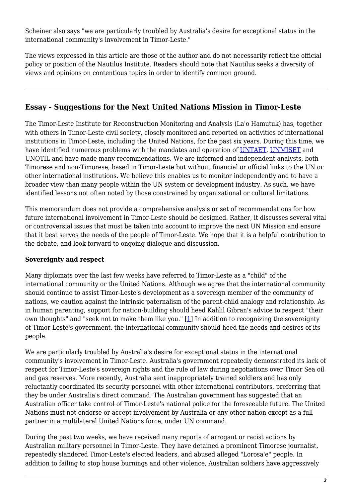Scheiner also says "we are particularly troubled by Australia's desire for exceptional status in the international community's involvement in Timor-Leste."

The views expressed in this article are those of the author and do not necessarily reflect the official policy or position of the Nautilus Institute. Readers should note that Nautilus seeks a diversity of views and opinions on contentious topics in order to identify common ground.

# **Essay - Suggestions for the Next United Nations Mission in Timor-Leste**

The Timor-Leste Institute for Reconstruction Monitoring and Analysis (La'o Hamutuk) has, together with others in Timor-Leste civil society, closely monitored and reported on activities of international institutions in Timor-Leste, including the United Nations, for the past six years. During this time, we have identified numerous problems with the mandates and operation of [UNTAET,](http://www.un.org/peace/etimor/etimor.htm) [UNMISET](http://www.un.org/Depts/dpko/missions/unmiset/index.html) and UNOTIL and have made many recommendations. We are informed and independent analysts, both Timorese and non-Timorese, based in Timor-Leste but without financial or official links to the UN or other international institutions. We believe this enables us to monitor independently and to have a broader view than many people within the UN system or development industry. As such, we have identified lessons not often noted by those constrained by organizational or cultural limitations.

This memorandum does not provide a comprehensive analysis or set of recommendations for how future international involvement in Timor-Leste should be designed. Rather, it discusses several vital or controversial issues that must be taken into account to improve the next UN Mission and ensure that it best serves the needs of the people of Timor-Leste. We hope that it is a helpful contribution to the debate, and look forward to ongoing dialogue and discussion.

#### **Sovereignty and respect**

Many diplomats over the last few weeks have referred to Timor-Leste as a "child" of the international community or the United Nations. Although we agree that the international community should continue to assist Timor-Leste's development as a sovereign member of the community of nations, we caution against the intrinsic paternalism of the parent-child analogy and relationship. As in human parenting, support for nation-building should heed Kahlil Gibran's advice to respect "their own thoughts" and "seek not to make them like you." [\[1\]](#page-8-0) In addition to recognizing the sovereignty of Timor-Leste's government, the international community should heed the needs and desires of its people.

<span id="page-1-0"></span>We are particularly troubled by Australia's desire for exceptional status in the international community's involvement in Timor-Leste. Australia's government repeatedly demonstrated its lack of respect for Timor-Leste's sovereign rights and the rule of law during negotiations over Timor Sea oil and gas reserves. More recently, Australia sent inappropriately trained soldiers and has only reluctantly coordinated its security personnel with other international contributors, preferring that they be under Australia's direct command. The Australian government has suggested that an Australian officer take control of Timor-Leste's national police for the foreseeable future. The United Nations must not endorse or accept involvement by Australia or any other nation except as a full partner in a multilateral United Nations force, under UN command.

During the past two weeks, we have received many reports of arrogant or racist actions by Australian military personnel in Timor-Leste. They have detained a prominent Timorese journalist, repeatedly slandered Timor-Leste's elected leaders, and abused alleged "Lorosa'e" people. In addition to failing to stop house burnings and other violence, Australian soldiers have aggressively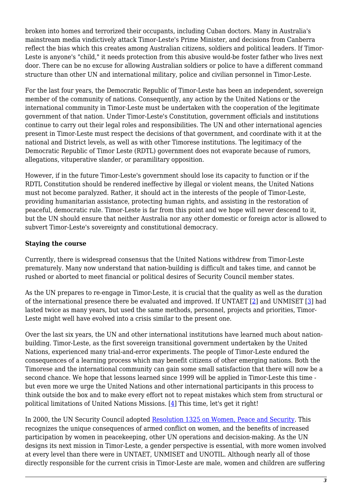broken into homes and terrorized their occupants, including Cuban doctors. Many in Australia's mainstream media vindictively attack Timor-Leste's Prime Minister, and decisions from Canberra reflect the bias which this creates among Australian citizens, soldiers and political leaders. If Timor-Leste is anyone's "child," it needs protection from this abusive would-be foster father who lives next door. There can be no excuse for allowing Australian soldiers or police to have a different command structure than other UN and international military, police and civilian personnel in Timor-Leste.

For the last four years, the Democratic Republic of Timor-Leste has been an independent, sovereign member of the community of nations. Consequently, any action by the United Nations or the international community in Timor-Leste must be undertaken with the cooperation of the legitimate government of that nation. Under Timor-Leste's Constitution, government officials and institutions continue to carry out their legal roles and responsibilities. The UN and other international agencies present in Timor-Leste must respect the decisions of that government, and coordinate with it at the national and District levels, as well as with other Timorese institutions. The legitimacy of the Democratic Republic of Timor Leste (RDTL) government does not evaporate because of rumors, allegations, vituperative slander, or paramilitary opposition.

However, if in the future Timor-Leste's government should lose its capacity to function or if the RDTL Constitution should be rendered ineffective by illegal or violent means, the United Nations must not become paralyzed. Rather, it should act in the interests of the people of Timor-Leste, providing humanitarian assistance, protecting human rights, and assisting in the restoration of peaceful, democratic rule. Timor-Leste is far from this point and we hope will never descend to it, but the UN should ensure that neither Australia nor any other domestic or foreign actor is allowed to subvert Timor-Leste's sovereignty and constitutional democracy.

#### **Staying the course**

Currently, there is widespread consensus that the United Nations withdrew from Timor-Leste prematurely. Many now understand that nation-building is difficult and takes time, and cannot be rushed or aborted to meet financial or political desires of Security Council member states.

<span id="page-2-0"></span>As the UN prepares to re-engage in Timor-Leste, it is crucial that the quality as well as the duration of the international presence there be evaluated and improved. If UNTAET [[2\]](#page-8-1) and UNMISET [\[3\]](#page-8-2) had lasted twice as many years, but used the same methods, personnel, projects and priorities, Timor-Leste might well have evolved into a crisis similar to the present one.

Over the last six years, the UN and other international institutions have learned much about nationbuilding. Timor-Leste, as the first sovereign transitional government undertaken by the United Nations, experienced many trial-and-error experiments. The people of Timor-Leste endured the consequences of a learning process which may benefit citizens of other emerging nations. Both the Timorese and the international community can gain some small satisfaction that there will now be a second chance. We hope that lessons learned since 1999 will be applied in Timor-Leste this time but even more we urge the United Nations and other international participants in this process to think outside the box and to make every effort not to repeat mistakes which stem from structural or political limitations of United Nations Missions. [[4](#page-8-3)] This time, let's get it right!

<span id="page-2-1"></span>In 2000, the UN Security Council adopted [Resolution 1325 on Women, Peace and Security](http://www.peacewomen.org/un/sc/1325.html). This recognizes the unique consequences of armed conflict on women, and the benefits of increased participation by women in peacekeeping, other UN operations and decision-making. As the UN designs its next mission in Timor-Leste, a gender perspective is essential, with more women involved at every level than there were in UNTAET, UNMISET and UNOTIL. Although nearly all of those directly responsible for the current crisis in Timor-Leste are male, women and children are suffering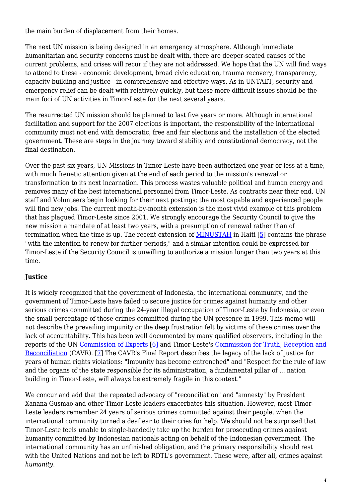the main burden of displacement from their homes.

The next UN mission is being designed in an emergency atmosphere. Although immediate humanitarian and security concerns must be dealt with, there are deeper-seated causes of the current problems, and crises will recur if they are not addressed. We hope that the UN will find ways to attend to these - economic development, broad civic education, trauma recovery, transparency, capacity-building and justice - in comprehensive and effective ways. As in UNTAET, security and emergency relief can be dealt with relatively quickly, but these more difficult issues should be the main foci of UN activities in Timor-Leste for the next several years.

The resurrected UN mission should be planned to last five years or more. Although international facilitation and support for the 2007 elections is important, the responsibility of the international community must not end with democratic, free and fair elections and the installation of the elected government. These are steps in the journey toward stability and constitutional democracy, not the final destination.

Over the past six years, UN Missions in Timor-Leste have been authorized one year or less at a time, with much frenetic attention given at the end of each period to the mission's renewal or transformation to its next incarnation. This process wastes valuable political and human energy and removes many of the best international personnel from Timor-Leste. As contracts near their end, UN staff and Volunteers begin looking for their next postings; the most capable and experienced people will find new jobs. The current month-by-month extension is the most vivid example of this problem that has plagued Timor-Leste since 2001. We strongly encourage the Security Council to give the new mission a mandate of at least two years, with a presumption of renewal rather than of termination when the time is up. The recent extension of [MINUSTAH](http://www.un.org/Depts/dpko/missions/minustah/) in Haiti [\[5\]](#page-8-4) contains the phrase "with the intention to renew for further periods," and a similar intention could be expressed for Timor-Leste if the Security Council is unwilling to authorize a mission longer than two years at this time.

#### <span id="page-3-0"></span>**Justice**

It is widely recognized that the government of Indonesia, the international community, and the government of Timor-Leste have failed to secure justice for crimes against humanity and other serious crimes committed during the 24-year illegal occupation of Timor-Leste by Indonesia, or even the small percentage of those crimes committed during the UN presence in 1999. This memo will not describe the prevailing impunity or the deep frustration felt by victims of these crimes over the lack of accountability. This has been well documented by many qualified observers, including in the reports of the UN [Commission of Experts](http://www.etan.org/etanpdf/pdf3/N0542617.pdf) [\[6\]](#page-8-5) and Timor-Leste's [Commission for Truth, Reception and](http://www.etan.org/news/2006/cavr.htm) [Reconciliation](http://www.etan.org/news/2006/cavr.htm) (CAVR). [\[7\]](#page-8-6) The CAVR's Final Report describes the legacy of the lack of justice for years of human rights violations: "Impunity has become entrenched" and "Respect for the rule of law and the organs of the state responsible for its administration, a fundamental pillar of ... nation building in Timor-Leste, will always be extremely fragile in this context."

<span id="page-3-2"></span><span id="page-3-1"></span>We concur and add that the repeated advocacy of "reconciliation" and "amnesty" by President Xanana Gusmao and other Timor-Leste leaders exacerbates this situation. However, most Timor-Leste leaders remember 24 years of serious crimes committed against their people, when the international community turned a deaf ear to their cries for help. We should not be surprised that Timor-Leste feels unable to single-handedly take up the burden for prosecuting crimes against humanity committed by Indonesian nationals acting on behalf of the Indonesian government. The international community has an unfinished obligation, and the primary responsibility should rest with the United Nations and not be left to RDTL's government. These were, after all, crimes against *humanity*.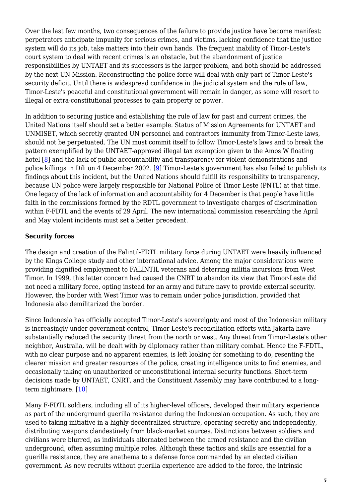Over the last few months, two consequences of the failure to provide justice have become manifest: perpetrators anticipate impunity for serious crimes, and victims, lacking confidence that the justice system will do its job, take matters into their own hands. The frequent inability of Timor-Leste's court system to deal with recent crimes is an obstacle, but the abandonment of justice responsibilities by UNTAET and its successors is the larger problem, and both should be addressed by the next UN Mission. Reconstructing the police force will deal with only part of Timor-Leste's security deficit. Until there is widespread confidence in the judicial system and the rule of law, Timor-Leste's peaceful and constitutional government will remain in danger, as some will resort to illegal or extra-constitutional processes to gain property or power.

<span id="page-4-1"></span><span id="page-4-0"></span>In addition to securing justice and establishing the rule of law for past and current crimes, the United Nations itself should set a better example. Status of Mission Agreements for UNTAET and UNMISET, which secretly granted UN personnel and contractors immunity from Timor-Leste laws, should not be perpetuated. The UN must commit itself to follow Timor-Leste's laws and to break the pattern exemplified by the UNTAET-approved illegal tax exemption given to the Amos W floating hotel [[8](#page-9-0)] and the lack of public accountability and transparency for violent demonstrations and police killings in Dili on 4 December 2002. [\[9\]](#page-9-1) Timor-Leste's government has also failed to publish its findings about this incident, but the United Nations should fulfill its responsibility to transparency, because UN police were largely responsible for National Police of Timor Leste (PNTL) at that time. One legacy of the lack of information and accountability for 4 December is that people have little faith in the commissions formed by the RDTL government to investigate charges of discrimination within F-FDTL and the events of 29 April. The new international commission researching the April and May violent incidents must set a better precedent.

#### **Security forces**

The design and creation of the Falintil-FDTL military force during UNTAET were heavily influenced by the Kings College study and other international advice. Among the major considerations were providing dignified employment to FALINTIL veterans and deterring militia incursions from West Timor. In 1999, this latter concern had caused the CNRT to abandon its view that Timor-Leste did not need a military force, opting instead for an army and future navy to provide external security. However, the border with West Timor was to remain under police jurisdiction, provided that Indonesia also demilitarized the border.

Since Indonesia has officially accepted Timor-Leste's sovereignty and most of the Indonesian military is increasingly under government control, Timor-Leste's reconciliation efforts with Jakarta have substantially reduced the security threat from the north or west. Any threat from Timor-Leste's other neighbor, Australia, will be dealt with by diplomacy rather than military combat. Hence the F-FDTL, with no clear purpose and no apparent enemies, is left looking for something to do, resenting the clearer mission and greater resources of the police, creating intelligence units to find enemies, and occasionally taking on unauthorized or unconstitutional internal security functions. Short-term decisions made by UNTAET, CNRT, and the Constituent Assembly may have contributed to a long-term nightmare. [[10](#page-9-2)]

<span id="page-4-2"></span>Many F-FDTL soldiers, including all of its higher-level officers, developed their military experience as part of the underground guerilla resistance during the Indonesian occupation. As such, they are used to taking initiative in a highly-decentralized structure, operating secretly and independently, distributing weapons clandestinely from black-market sources. Distinctions between soldiers and civilians were blurred, as individuals alternated between the armed resistance and the civilian underground, often assuming multiple roles. Although these tactics and skills are essential for a guerilla resistance, they are anathema to a defense force commanded by an elected civilian government. As new recruits without guerilla experience are added to the force, the intrinsic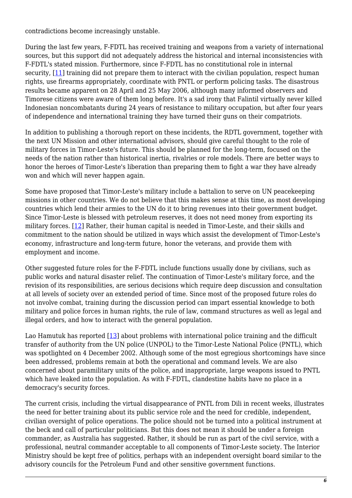contradictions become increasingly unstable.

<span id="page-5-0"></span>During the last few years, F-FDTL has received training and weapons from a variety of international sources, but this support did not adequately address the historical and internal inconsistencies with F-FDTL's stated mission. Furthermore, since F-FDTL has no constitutional role in internal security, [[11\]](#page-9-3) training did not prepare them to interact with the civilian population, respect human rights, use firearms appropriately, coordinate with PNTL or perform policing tasks. The disastrous results became apparent on 28 April and 25 May 2006, although many informed observers and Timorese citizens were aware of them long before. It's a sad irony that Falintil virtually never killed Indonesian noncombatants during 24 years of resistance to military occupation, but after four years of independence and international training they have turned their guns on their compatriots.

In addition to publishing a thorough report on these incidents, the RDTL government, together with the next UN Mission and other international advisors, should give careful thought to the role of military forces in Timor-Leste's future. This should be planned for the long-term, focused on the needs of the nation rather than historical inertia, rivalries or role models. There are better ways to honor the heroes of Timor-Leste's liberation than preparing them to fight a war they have already won and which will never happen again.

<span id="page-5-1"></span>Some have proposed that Timor-Leste's military include a battalion to serve on UN peacekeeping missions in other countries. We do not believe that this makes sense at this time, as most developing countries which lend their armies to the UN do it to bring revenues into their government budget. Since Timor-Leste is blessed with petroleum reserves, it does not need money from exporting its military forces. [[12](#page-9-4)] Rather, their human capital is needed in Timor-Leste, and their skills and commitment to the nation should be utilized in ways which assist the development of Timor-Leste's economy, infrastructure and long-term future, honor the veterans, and provide them with employment and income.

Other suggested future roles for the F-FDTL include functions usually done by civilians, such as public works and natural disaster relief. The continuation of Timor-Leste's military force, and the revision of its responsibilities, are serious decisions which require deep discussion and consultation at all levels of society over an extended period of time. Since most of the proposed future roles do not involve combat, training during the discussion period can impart essential knowledge to both military and police forces in human rights, the rule of law, command structures as well as legal and illegal orders, and how to interact with the general population.

<span id="page-5-2"></span>Lao Hamutuk has reported [\[13\]](#page-9-5) about problems with international police training and the difficult transfer of authority from the UN police (UNPOL) to the Timor-Leste National Police (PNTL), which was spotlighted on 4 December 2002. Although some of the most egregious shortcomings have since been addressed, problems remain at both the operational and command levels. We are also concerned about paramilitary units of the police, and inappropriate, large weapons issued to PNTL which have leaked into the population. As with F-FDTL, clandestine habits have no place in a democracy's security forces.

The current crisis, including the virtual disappearance of PNTL from Dili in recent weeks, illustrates the need for better training about its public service role and the need for credible, independent, civilian oversight of police operations. The police should not be turned into a political instrument at the beck and call of particular politicians. But this does not mean it should be under a foreign commander, as Australia has suggested. Rather, it should be run as part of the civil service, with a professional, neutral commander acceptable to all components of Timor-Leste society. The Interior Ministry should be kept free of politics, perhaps with an independent oversight board similar to the advisory councils for the Petroleum Fund and other sensitive government functions.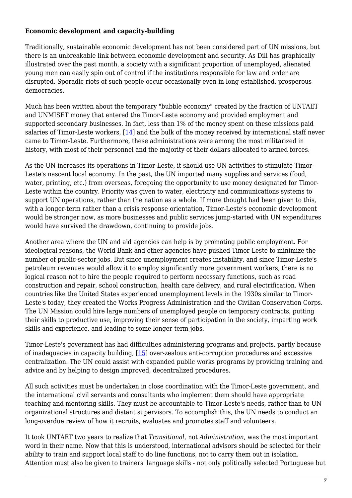#### **Economic development and capacity-building**

Traditionally, sustainable economic development has not been considered part of UN missions, but there is an unbreakable link between economic development and security. As Dili has graphically illustrated over the past month, a society with a significant proportion of unemployed, alienated young men can easily spin out of control if the institutions responsible for law and order are disrupted. Sporadic riots of such people occur occasionally even in long-established, prosperous democracies.

<span id="page-6-0"></span>Much has been written about the temporary "bubble economy" created by the fraction of UNTAET and UNMISET money that entered the Timor-Leste economy and provided employment and supported secondary businesses. In fact, less than 1% of the money spent on these missions paid salaries of Timor-Leste workers, [[14](#page-9-6)] and the bulk of the money received by international staff never came to Timor-Leste. Furthermore, these administrations were among the most militarized in history, with most of their personnel and the majority of their dollars allocated to armed forces.

As the UN increases its operations in Timor-Leste, it should use UN activities to stimulate Timor-Leste's nascent local economy. In the past, the UN imported many supplies and services (food, water, printing, etc.) from overseas, foregoing the opportunity to use money designated for Timor-Leste within the country. Priority was given to water, electricity and communications systems to support UN operations, rather than the nation as a whole. If more thought had been given to this, with a longer-term rather than a crisis response orientation, Timor-Leste's economic development would be stronger now, as more businesses and public services jump-started with UN expenditures would have survived the drawdown, continuing to provide jobs.

Another area where the UN and aid agencies can help is by promoting public employment. For ideological reasons, the World Bank and other agencies have pushed Timor-Leste to minimize the number of public-sector jobs. But since unemployment creates instability, and since Timor-Leste's petroleum revenues would allow it to employ significantly more government workers, there is no logical reason not to hire the people required to perform necessary functions, such as road construction and repair, school construction, health care delivery, and rural electrification. When countries like the United States experienced unemployment levels in the 1930s similar to Timor-Leste's today, they created the Works Progress Administration and the Civilian Conservation Corps. The UN Mission could hire large numbers of unemployed people on temporary contracts, putting their skills to productive use, improving their sense of participation in the society, imparting work skills and experience, and leading to some longer-term jobs.

<span id="page-6-1"></span>Timor-Leste's government has had difficulties administering programs and projects, partly because of inadequacies in capacity building, [[15](#page-9-7)] over-zealous anti-corruption procedures and excessive centralization. The UN could assist with expanded public works programs by providing training and advice and by helping to design improved, decentralized procedures.

All such activities must be undertaken in close coordination with the Timor-Leste government, and the international civil servants and consultants who implement them should have appropriate teaching and mentoring skills. They must be accountable to Timor-Leste's needs, rather than to UN organizational structures and distant supervisors. To accomplish this, the UN needs to conduct an long-overdue review of how it recruits, evaluates and promotes staff and volunteers.

It took UNTAET two years to realize that *Transitional*, not *Administration*, was the most important word in their name. Now that this is understood, international advisors should be selected for their ability to train and support local staff to do line functions, not to carry them out in isolation. Attention must also be given to trainers' language skills - not only politically selected Portuguese but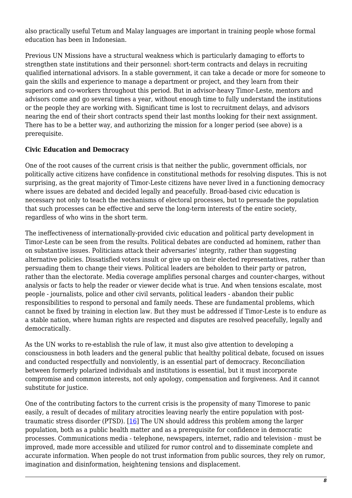also practically useful Tetum and Malay languages are important in training people whose formal education has been in Indonesian.

Previous UN Missions have a structural weakness which is particularly damaging to efforts to strengthen state institutions and their personnel: short-term contracts and delays in recruiting qualified international advisors. In a stable government, it can take a decade or more for someone to gain the skills and experience to manage a department or project, and they learn from their superiors and co-workers throughout this period. But in advisor-heavy Timor-Leste, mentors and advisors come and go several times a year, without enough time to fully understand the institutions or the people they are working with. Significant time is lost to recruitment delays, and advisors nearing the end of their short contracts spend their last months looking for their next assignment. There has to be a better way, and authorizing the mission for a longer period (see above) is a prerequisite.

#### **Civic Education and Democracy**

One of the root causes of the current crisis is that neither the public, government officials, nor politically active citizens have confidence in constitutional methods for resolving disputes. This is not surprising, as the great majority of Timor-Leste citizens have never lived in a functioning democracy where issues are debated and decided legally and peacefully. Broad-based civic education is necessary not only to teach the mechanisms of electoral processes, but to persuade the population that such processes can be effective and serve the long-term interests of the entire society, regardless of who wins in the short term.

The ineffectiveness of internationally-provided civic education and political party development in Timor-Leste can be seen from the results. Political debates are conducted ad hominem, rather than on substantive issues. Politicians attack their adversaries' integrity, rather than suggesting alternative policies. Dissatisfied voters insult or give up on their elected representatives, rather than persuading them to change their views. Political leaders are beholden to their party or patron, rather than the electorate. Media coverage amplifies personal charges and counter-charges, without analysis or facts to help the reader or viewer decide what is true. And when tensions escalate, most people - journalists, police and other civil servants, political leaders - abandon their public responsibilities to respond to personal and family needs. These are fundamental problems, which cannot be fixed by training in election law. But they must be addressed if Timor-Leste is to endure as a stable nation, where human rights are respected and disputes are resolved peacefully, legally and democratically.

As the UN works to re-establish the rule of law, it must also give attention to developing a consciousness in both leaders and the general public that healthy political debate, focused on issues and conducted respectfully and nonviolently, is an essential part of democracy. Reconciliation between formerly polarized individuals and institutions is essential, but it must incorporate compromise and common interests, not only apology, compensation and forgiveness. And it cannot substitute for justice.

<span id="page-7-0"></span>One of the contributing factors to the current crisis is the propensity of many Timorese to panic easily, a result of decades of military atrocities leaving nearly the entire population with posttraumatic stress disorder (PTSD). [[16](#page-9-8)] The UN should address this problem among the larger population, both as a public health matter and as a prerequisite for confidence in democratic processes. Communications media - telephone, newspapers, internet, radio and television - must be improved, made more accessible and utilized for rumor control and to disseminate complete and accurate information. When people do not trust information from public sources, they rely on rumor, imagination and disinformation, heightening tensions and displacement.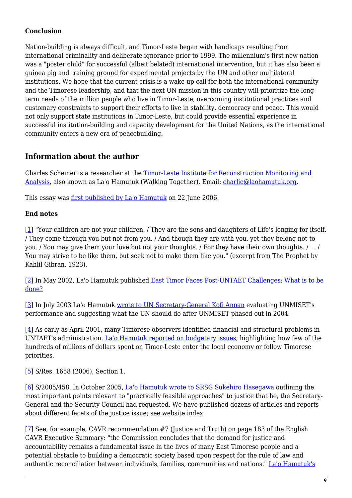#### **Conclusion**

Nation-building is always difficult, and Timor-Leste began with handicaps resulting from international criminality and deliberate ignorance prior to 1999. The millennium's first new nation was a "poster child" for successful (albeit belated) international intervention, but it has also been a guinea pig and training ground for experimental projects by the UN and other multilateral institutions. We hope that the current crisis is a wake-up call for both the international community and the Timorese leadership, and that the next UN mission in this country will prioritize the longterm needs of the million people who live in Timor-Leste, overcoming institutional practices and customary constraints to support their efforts to live in stability, democracy and peace. This would not only support state institutions in Timor-Leste, but could provide essential experience in successful institution-building and capacity development for the United Nations, as the international community enters a new era of peacebuilding.

## **Information about the author**

Charles Scheiner is a researcher at the [Timor-Leste Institute for Reconstruction Monitoring and](http://www.laohamutuk.org/) [Analysis](http://www.laohamutuk.org/), also known as La'o Hamutuk (Walking Together). Email: [charlie@laohamutuk.org.](mailto:charlie@laohamutuk.org)

This essay was [first published by La'o Hamutuk](http://www.laohamutuk.org/reports/UN/06LHSuggestUN.html) on 22 June 2006.

#### **End notes**

<span id="page-8-0"></span>[\[1\]](#page-1-0) "Your children are not your children. / They are the sons and daughters of Life's longing for itself. / They come through you but not from you, / And though they are with you, yet they belong not to you. / You may give them your love but not your thoughts. / For they have their own thoughts. / ... / You may strive to be like them, but seek not to make them like you." (excerpt from The Prophet by Kahlil Gibran, 1923).

<span id="page-8-1"></span>[\[2\]](#page-2-0) In May 2002, La'o Hamutuk published [East Timor Faces Post-UNTAET Challenges: What is to be](http://www.laohamutuk.org/Bulletin/2002/May/bulletinv3n4a.html#East-Timor-Faces) [done?](http://www.laohamutuk.org/Bulletin/2002/May/bulletinv3n4a.html#East-Timor-Faces)

<span id="page-8-2"></span>[\[3\]](#page-2-0) In July 2003 La'o Hamutuk [wrote to UN Secretary-General Kofi Annan](http://www.laohamutuk.org/misc/0307unmiset.html) evaluating UNMISET's performance and suggesting what the UN should do after UNMISET phased out in 2004.

<span id="page-8-3"></span>[\[4\]](#page-2-1) As early as April 2001, many Timorese observers identified financial and structural problems in UNTAET's administration. [La'o Hamutuk reported on budgetary issues](http://www.laohamutuk.org/Bulletin/2001/Apr/bulletinv2n1.html), highlighting how few of the hundreds of millions of dollars spent on Timor-Leste enter the local economy or follow Timorese priorities.

<span id="page-8-4"></span>[\[5\]](#page-3-0) S/Res. 1658 (2006), Section 1.

<span id="page-8-5"></span>[\[6\]](#page-3-1) S/2005/458. In October 2005, [La'o Hamutuk wrote to SRSG Sukehiro Hasegawa](http://www.laohamutuk.org/Justice/05LHtoSRSG.html) outlining the most important points relevant to "practically feasible approaches" to justice that he, the Secretary-General and the Security Council had requested. We have published dozens of articles and reports about different facets of the justice issue; see website index.

<span id="page-8-6"></span>[\[7\]](#page-3-2) See, for example, CAVR recommendation #7 (Justice and Truth) on page 183 of the English CAVR Executive Summary: "the Commission concludes that the demand for justice and accountability remains a fundamental issue in the lives of many East Timorese people and a potential obstacle to building a democratic society based upon respect for the rule of law and authentic reconciliation between individuals, families, communities and nations." [La'o Hamutuk's](http://www.laohamutuk.org/Bulletin/2006/Apr/bulletinv7n1.html#Editorial)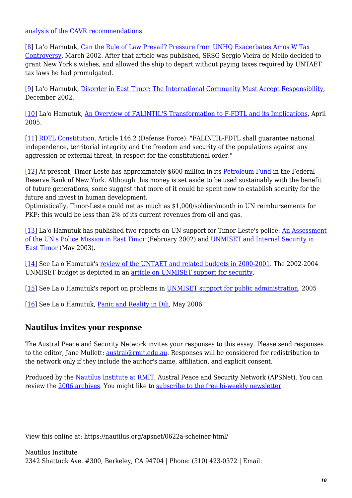[analysis of the CAVR recommendations](http://www.laohamutuk.org/Bulletin/2006/Apr/bulletinv7n1.html#Editorial).

<span id="page-9-0"></span>[\[8\]](#page-4-0) La'o Hamutuk, Can the Rule of Law Prevail? Pressure from UNHO Exacerbates Amos W Tax [Controversy,](http://www.laohamutuk.org/misc/02news.html) March 2002. After that article was published, SRSG Sergio Vieira de Mello decided to grant New York's wishes, and allowed the ship to depart without paying taxes required by UNTAET tax laws he had promulgated.

<span id="page-9-1"></span>[\[9\]](#page-4-1) La'o Hamutuk, [Disorder in East Timor: The International Community Must Accept Responsibility,](http://www.laohamutuk.org/misc/1202unrest.html) December 2002.

<span id="page-9-2"></span>[\[10\]](#page-4-2) La'o Hamutuk, [An Overview of FALINTIL'S Transformation to F-FDTL and its Implications](http://www.laohamutuk.org/Bulletin/2005/Apr/bulletinv6n1.html), April 2005.

<span id="page-9-3"></span>[\[11\]](#page-5-0) [RDTL Constitution,](http://www.laohamutuk.org/Justice/ConstitutionEng.pdf) Article 146.2 (Defense Force): "FALINTIL-FDTL shall guarantee national independence, territorial integrity and the freedom and security of the populations against any aggression or external threat, in respect for the constitutional order."

<span id="page-9-4"></span>[\[12\]](#page-5-1) At present, Timor-Leste has approximately \$600 million in its [Petroleum Fund](http://www.laohamutuk.org/Oil/PetFund/05PFIndex.htm) in the Federal Reserve Bank of New York. Although this money is set aside to be used sustainably with the benefit of future generations, some suggest that more of it could be spent now to establish security for the future and invest in human development.

Optimistically, Timor-Leste could net as much as \$1,000/soldier/month in UN reimbursements for PKF; this would be less than 2% of its current revenues from oil and gas.

<span id="page-9-5"></span>[\[13\]](#page-5-2) La'o Hamutuk has published two reports on UN support for Timor-Leste's police: [An Assessment](http://www.laohamutuk.org/Bulletin/2002/Feb/bulletinv3n1.html#Police-Mission) [of the UN's Police Mission in East Timor](http://www.laohamutuk.org/Bulletin/2002/Feb/bulletinv3n1.html#Police-Mission) (February 2002) and [UNMISET and Internal Security in](http://www.laohamutuk.org/Bulletin/2003/May/bulletinv4n2.html) [East Timor](http://www.laohamutuk.org/Bulletin/2003/May/bulletinv4n2.html) (May 2003).

<span id="page-9-6"></span>[\[14\]](#page-6-0) See La'o Hamutuk's [review of the UNTAET and related budgets in 2000-2001.](http://www.laohamutuk.org/Bulletin/2001/Apr/bulletinv2n1.html) The 2002-2004 UNMISET budget is depicted in an [article on UNMISET support for security](http://www.laohamutuk.org/Bulletin/2003/May/bulletinv4n2.html).

<span id="page-9-7"></span>[\[15\]](#page-6-1) See La'o Hamutuk's report on problems in [UNMISET support for public administration](http://www.laohamutuk.org/Bulletin/2005/Aug/bulletinv6n3.html#UNMISET_Support_for_Public_Administration__), 2005

<span id="page-9-8"></span>[\[16\]](#page-7-0) See La'o Hamutuk, [Panic and Reality in Dili,](http://www.laohamutuk.org/Justice/Panic/06LHFDTL.html) May 2006.

## **Nautilus invites your response**

The Austral Peace and Security Network invites your responses to this essay. Please send responses to the editor, Jane Mullett: [austral@rmit.edu.au](mailto:austral@rmit.edu.au). Responses will be considered for redistribution to the network only if they include the author's name, affiliation, and explicit consent.

Produced by the [Nautilus Institute at RMIT,](https://nautilus.org/publications/) Austral Peace and Security Network (APSNet). You can review the [2006 archives](http://nautilus.org/forums/2006/). You might like to [subscribe to the free bi-weekly newsletter](https://nautilus.org/mailman/listinfo/apsnet) .

View this online at: https://nautilus.org/apsnet/0622a-scheiner-html/